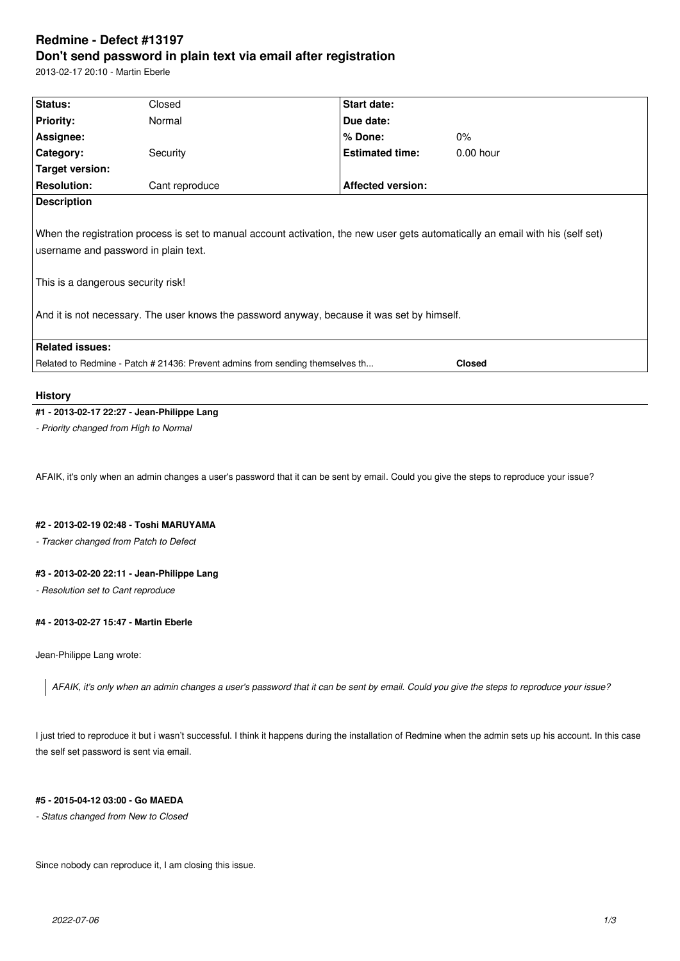# **Redmine - Defect #13197 Don't send password in plain text via email after registration**

2013-02-17 20:10 - Martin Eberle

| Status:                            | Closed                               | Start date:                                                                                 |                                                                                                                                 |
|------------------------------------|--------------------------------------|---------------------------------------------------------------------------------------------|---------------------------------------------------------------------------------------------------------------------------------|
| <b>Priority:</b>                   | Normal                               | Due date:                                                                                   |                                                                                                                                 |
| Assignee:                          |                                      | $%$ Done:                                                                                   | $0\%$                                                                                                                           |
| Category:                          | Security                             | <b>Estimated time:</b>                                                                      | $0.00$ hour                                                                                                                     |
| Target version:                    |                                      |                                                                                             |                                                                                                                                 |
| <b>Resolution:</b>                 | Cant reproduce                       | <b>Affected version:</b>                                                                    |                                                                                                                                 |
| <b>Description</b>                 |                                      |                                                                                             |                                                                                                                                 |
|                                    | username and password in plain text. |                                                                                             | When the registration process is set to manual account activation, the new user gets automatically an email with his (self set) |
| This is a dangerous security risk! |                                      |                                                                                             |                                                                                                                                 |
|                                    |                                      | And it is not necessary. The user knows the password anyway, because it was set by himself. |                                                                                                                                 |
| <b>Related issues:</b>             |                                      |                                                                                             |                                                                                                                                 |

### **History**

## **#1 - 2013-02-17 22:27 - Jean-Philippe Lang**

*- Priority changed from High to Normal*

AFAIK, it's only when an admin changes a user's password that it can be sent by email. Could you give the steps to reproduce your issue?

## **#2 - 2013-02-19 02:48 - Toshi MARUYAMA**

*- Tracker changed from Patch to Defect*

## **#3 - 2013-02-20 22:11 - Jean-Philippe Lang**

*- Resolution set to Cant reproduce*

## **#4 - 2013-02-27 15:47 - Martin Eberle**

Jean-Philippe Lang wrote:

*AFAIK, it's only when an admin changes a user's password that it can be sent by email. Could you give the steps to reproduce your issue?*

I just tried to reproduce it but i wasn't successful. I think it happens during the installation of Redmine when the admin sets up his account. In this case the self set password is sent via email.

## **#5 - 2015-04-12 03:00 - Go MAEDA**

*- Status changed from New to Closed*

Since nobody can reproduce it, I am closing this issue.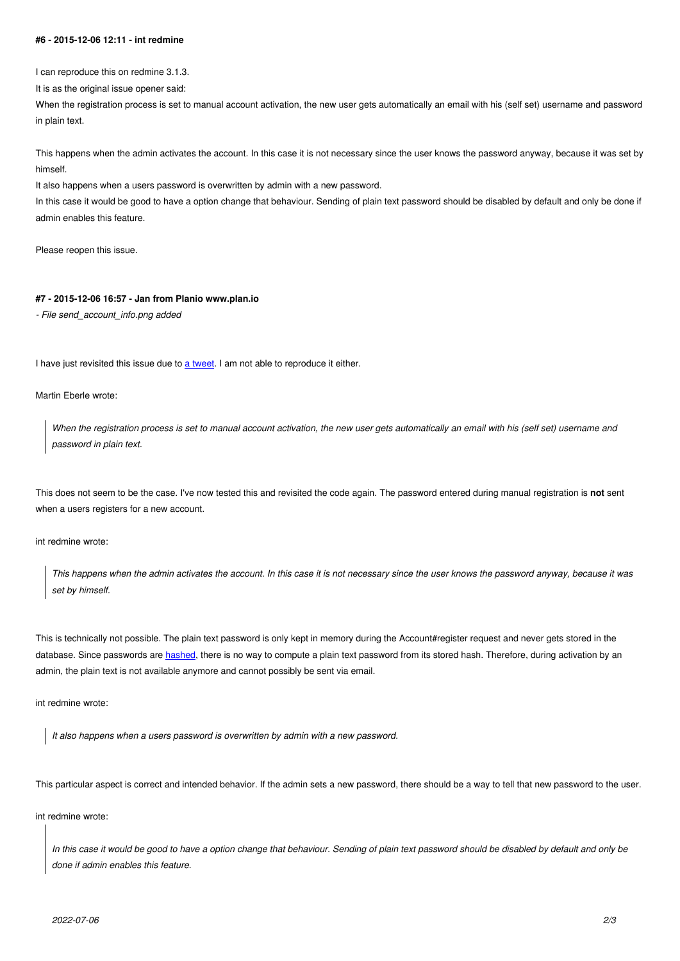I can reproduce this on redmine 3.1.3.

It is as the original issue opener said:

When the registration process is set to manual account activation, the new user gets automatically an email with his (self set) username and password in plain text.

This happens when the admin activates the account. In this case it is not necessary since the user knows the password anyway, because it was set by himself.

It also happens when a users password is overwritten by admin with a new password.

In this case it would be good to have a option change that behaviour. Sending of plain text password should be disabled by default and only be done if admin enables this feature.

Please reopen this issue.

### **#7 - 2015-12-06 16:57 - Jan from Planio www.plan.io**

*- File send\_account\_info.png added*

I have just revisited this issue due to a tweet. I am not able to reproduce it either.

Martin Eberle wrote:

*When the registration process is [set to m](https://twitter.com/martineberle/status/673475436626771968)anual account activation, the new user gets automatically an email with his (self set) username and password in plain text.*

This does not seem to be the case. I've now tested this and revisited the code again. The password entered during manual registration is **not** sent when a users registers for a new account.

int redmine wrote:

*This happens when the admin activates the account. In this case it is not necessary since the user knows the password anyway, because it was set by himself.*

This is technically not possible. The plain text password is only kept in memory during the Account#register request and never gets stored in the database. Since passwords are hashed, there is no way to compute a plain text password from its stored hash. Therefore, during activation by an admin, the plain text is not available anymore and cannot possibly be sent via email.

int redmine wrote:

*It also happens when a users password is overwritten by admin with a new password.*

This particular aspect is correct and intended behavior. If the admin sets a new password, there should be a way to tell that new password to the user.

int redmine wrote:

*In this case it would be good to have a option change that behaviour. Sending of plain text password should be disabled by default and only be done if admin enables this feature.*